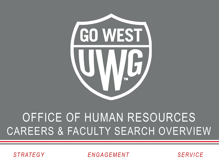

#### OFFICE OF HUMAN RESOURCES CAREERS & FACULTY SEARCH OVERVIEW

*STRATEGY ENGAGEMENT SERVICE*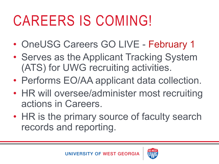## CAREERS IS COMING!

- OneUSG Careers GO LIVE February 1
- Serves as the Applicant Tracking System (ATS) for UWG recruiting activities.
- Performs EO/AA applicant data collection.
- HR will oversee/administer most recruiting actions in Careers.
- HR is the primary source of faculty search records and reporting.

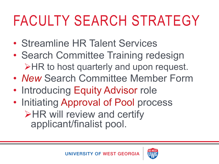# FACULTY SEARCH STRATEGY

- Streamline HR Talent Services
- Search Committee Training redesign **≻HR to host quarterly and upon request.**
- *New* Search Committee Member Form
- Introducing Equity Advisor role
- Initiating Approval of Pool process  $\triangleright$ HR will review and certify applicant/finalist pool.

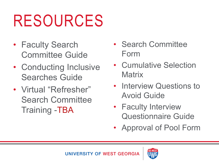# RESOURCES

- Faculty Search Committee Guide
- Conducting Inclusive Searches Guide
- Virtual "Refresher" Search Committee Training -TBA
- Search Committee Form
- Cumulative Selection **Matrix**
- Interview Questions to Avoid Guide
- Faculty Interview Questionnaire Guide
- Approval of Pool Form



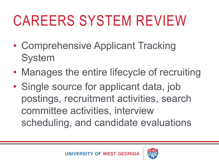# CAREERS SYSTEM REVIEW

- Comprehensive Applicant Tracking System
- Manages the entire lifecycle of recruiting
- Single source for applicant data, job postings, recruitment activities, search committee activities, interview scheduling, and candidate evaluations



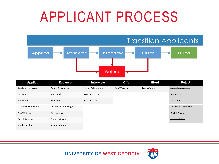### APPLICANT PROCESS

|                                                                                                 | <b>Transition Applicants</b> |                  |                   |                   |                     |  |  |  |  |  |  |
|-------------------------------------------------------------------------------------------------|------------------------------|------------------|-------------------|-------------------|---------------------|--|--|--|--|--|--|
| <b>Offer</b><br><b>Applied</b><br><b>Reviewed</b><br><b>Hired</b><br>Interview<br><b>Reject</b> |                              |                  |                   |                   |                     |  |  |  |  |  |  |
| <b>Applied</b>                                                                                  | <b>Reviewed</b>              | <b>Interview</b> | <b>Offer</b>      | <b>Hired</b>      | Reject              |  |  |  |  |  |  |
| Sarah Schoonover                                                                                | Sarah Schoonover             | Sarah Schoonover | <b>Ben Watson</b> | <b>Ben Watson</b> | Sarah Schoonover    |  |  |  |  |  |  |
| Jim Smith                                                                                       | Jim Smith                    | Derick Moore     |                   |                   | <b>Jim Smith</b>    |  |  |  |  |  |  |
| Sue Allen                                                                                       | Sue Allen                    | Ben Watson       |                   |                   | Sue Allen           |  |  |  |  |  |  |
| Elizabeth Dandridge                                                                             | Elizabeth Dandridge          |                  |                   |                   | Elizabeth Dandridge |  |  |  |  |  |  |
| <b>Ben Watson</b>                                                                               | <b>Ben Watson</b>            |                  |                   |                   | <b>Derick Moore</b> |  |  |  |  |  |  |
| Derick Moore                                                                                    | Derick Moore                 |                  |                   |                   | Sandra Bailey       |  |  |  |  |  |  |
| Sandra Bailey                                                                                   | Sandra Bailey                |                  |                   |                   |                     |  |  |  |  |  |  |

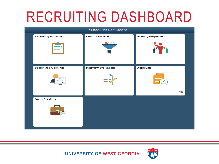#### RECRUITING DASHBOARD

|                              | ▼ Recruiting Self Service    |                         |  |
|------------------------------|------------------------------|-------------------------|--|
| <b>Recruiting Activities</b> | <b>Confirm Referral</b>      | <b>Routing Response</b> |  |
|                              | $\circ \circ \circ$          |                         |  |
| <b>Search Job Openings</b>   | <b>Interview Evaluations</b> | <b>Approvals</b>        |  |
|                              |                              | 45                      |  |
|                              |                              |                         |  |
| <b>Apply For Jobs</b>        |                              |                         |  |
|                              |                              |                         |  |